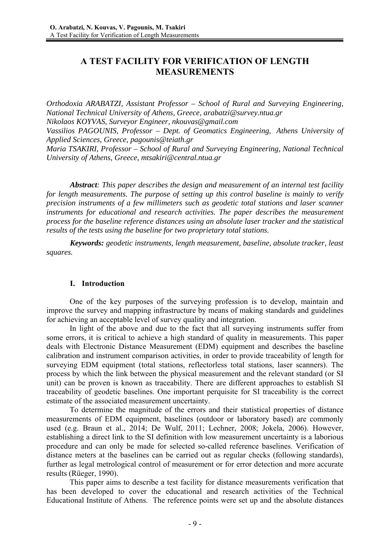# **A TEST FACILITY FOR VERIFICATION OF LENGTH MEASUREMENTS**

*Orthodoxia ARABATZI, Assistant Professor – School of Rural and Surveying Engineering, National Technical University of Athens, Greece, arabatzi@survey.ntua.gr Nikolaos KOYVAS, Surveyor Engineer, nkouvas@gmail.com* 

*Vassilios PAGOUNIS, Professor – Dept. of Geomatics Engineering, Athens University of Applied Sciences, Greece, pagounis@teiath.gr* 

*Maria TSAKIRI, Professor – School of Rural and Surveying Engineering, National Technical University of Athens, Greece, mtsakiri@central.ntua.gr* 

*Abstract: This paper describes the design and measurement of an internal test facility for length measurements. The purpose of setting up this control baseline is mainly to verify precision instruments of a few millimeters such as geodetic total stations and laser scanner instruments for educational and research activities. The paper describes the measurement process for the baseline reference distances using an absolute laser tracker and the statistical results of the tests using the baseline for two proprietary total stations.*

*Keywords: geodetic instruments, length measurement, baseline, absolute tracker, least squares.*

### **I. Introduction**

One of the key purposes of the surveying profession is to develop, maintain and improve the survey and mapping infrastructure by means of making standards and guidelines for achieving an acceptable level of survey quality and integration.

In light of the above and due to the fact that all surveying instruments suffer from some errors, it is critical to achieve a high standard of quality in measurements. This paper deals with Electronic Distance Measurement (EDM) equipment and describes the baseline calibration and instrument comparison activities, in order to provide traceability of length for surveying EDM equipment (total stations, reflectorless total stations, laser scanners). The process by which the link between the physical measurement and the relevant standard (or SI unit) can be proven is known as traceability. There are different approaches to establish SI traceability of geodetic baselines. One important perquisite for SI traceability is the correct estimate of the associated measurement uncertainty.

To determine the magnitude of the errors and their statistical properties of distance measurements of EDM equipment, baselines (outdoor or laboratory based) are commonly used (e.g. Braun et al., 2014; De Wulf, 2011; Lechner, 2008; Jokela, 2006). However, establishing a direct link to the SI definition with low measurement uncertainty is a laborious procedure and can only be made for selected so-called reference baselines. Verification of distance meters at the baselines can be carried out as regular checks (following standards), further as legal metrological control of measurement or for error detection and more accurate results (Rüeger, 1990).

This paper aims to describe a test facility for distance measurements verification that has been developed to cover the educational and research activities of the Technical Educational Institute of Athens. The reference points were set up and the absolute distances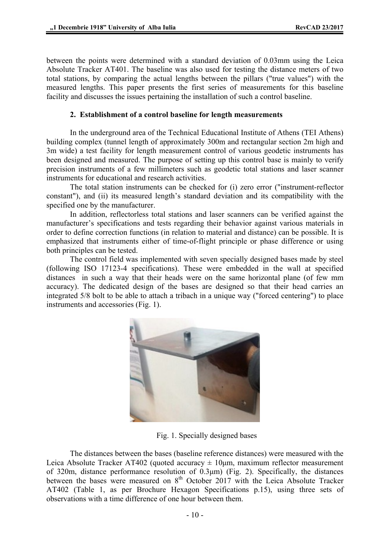between the points were determined with a standard deviation of 0.03mm using the Leica Absolute Tracker AT401. The baseline was also used for testing the distance meters of two total stations, by comparing the actual lengths between the pillars ("true values") with the measured lengths. This paper presents the first series of measurements for this baseline facility and discusses the issues pertaining the installation of such a control baseline.

### **2. Establishment of a control baseline for length measurements**

In the underground area of the Technical Educational Institute of Athens (TEI Athens) building complex (tunnel length of approximately 300m and rectangular section 2m high and 3m wide) a test facility for length measurement control of various geodetic instruments has been designed and measured. The purpose of setting up this control base is mainly to verify precision instruments of a few millimeters such as geodetic total stations and laser scanner instruments for educational and research activities.

The total station instruments can be checked for (i) zero error ("instrument-reflector constant"), and (ii) its measured length's standard deviation and its compatibility with the specified one by the manufacturer.

In addition, reflectorless total stations and laser scanners can be verified against the manufacturer's specifications and tests regarding their behavior against various materials in order to define correction functions (in relation to material and distance) can be possible. It is emphasized that instruments either of time-of-flight principle or phase difference or using both principles can be tested.

The control field was implemented with seven specially designed bases made by steel (following ISO 17123-4 specifications). These were embedded in the wall at specified distances in such a way that their heads were on the same horizontal plane (of few mm accuracy). The dedicated design of the bases are designed so that their head carries an integrated 5/8 bolt to be able to attach a tribach in a unique way ("forced centering") to place instruments and accessories (Fig. 1).



Fig. 1. Specially designed bases

The distances between the bases (baseline reference distances) were measured with the Leica Absolute Tracker AT402 (quoted accuracy  $\pm$  10 µm, maximum reflector measurement of 320m, distance performance resolution of  $\overrightarrow{0.3\mu m}$  (Fig. 2). Specifically, the distances between the bases were measured on  $8<sup>th</sup>$  October 2017 with the Leica Absolute Tracker AT402 (Table 1, as per Brochure Hexagon Specifications p.15), using three sets of observations with a time difference of one hour between them.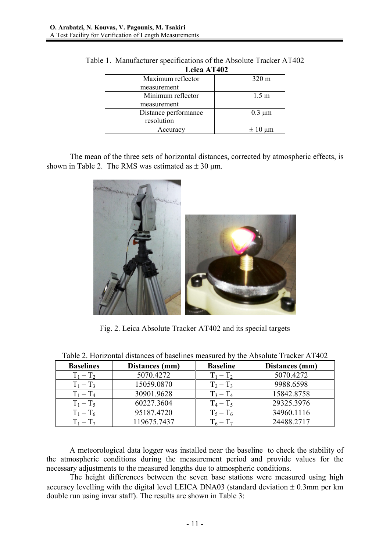| Leica AT402          |                  |
|----------------------|------------------|
| Maximum reflector    | $320 \text{ m}$  |
| measurement          |                  |
| Minimum reflector    | 1.5 <sub>m</sub> |
| measurement          |                  |
| Distance performance | $0.3 \mu m$      |
| resolution           |                  |
| Accuracy             |                  |

Table 1. Manufacturer specifications of the Absolute Tracker AT402

The mean of the three sets of horizontal distances, corrected by atmospheric effects, is shown in Table 2. The RMS was estimated as  $\pm$  30 µm.



Fig. 2. Leica Absolute Tracker AT402 and its special targets

| <b>Baselines</b> | Distances (mm) | <b>Baseline</b> | Distances (mm) |
|------------------|----------------|-----------------|----------------|
| $T_1 - T_2$      | 5070.4272      | $T_1 - T_2$     | 5070.4272      |
| $T_1 - T_3$      | 15059.0870     | $T_2 - T_3$     | 9988.6598      |
| $T_1 - T_4$      | 30901.9628     | $T_3 - T_4$     | 15842.8758     |
| $T_1 - T_5$      | 60227.3604     | $T_4 - T_5$     | 29325.3976     |
| $T_1 - T_6$      | 95187.4720     | $T_5 - T_6$     | 34960.1116     |
| $T_1 - T_7$      | 119675.7437    | $T_6 - T_7$     | 24488.2717     |

Table 2. Horizontal distances of baselines measured by the Absolute Tracker AT402

A meteorological data logger was installed near the baseline to check the stability of the atmospheric conditions during the measurement period and provide values for the necessary adjustments to the measured lengths due to atmospheric conditions.

The height differences between the seven base stations were measured using high accuracy levelling with the digital level LEICA DNA03 (standard deviation  $\pm$  0.3mm per km double run using invar staff). The results are shown in Table 3: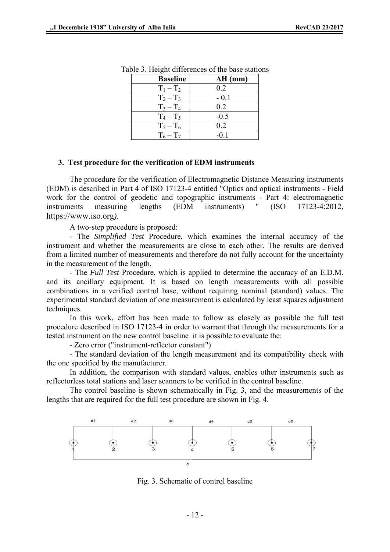| <b>Baseline</b> | $\Delta H$ (mm) |
|-----------------|-----------------|
| $T_1 - T_2$     | 0.2             |
| $T_2 - T_3$     | $-0.1$          |
| $T_3 - T_4$     | 0.2             |
| $T_4 - T_5$     | $-0.5$          |
| $T_5 - T_6$     | 0.2             |
| $T_6 - T_7$     |                 |

Table 3. Height differences of the base stations

#### **3. Test procedure for the verification of EDM instruments**

The procedure for the verification of Electromagnetic Distance Measuring instruments (EDM) is described in Part 4 of ISO 17123-4 entitled "Optics and optical instruments - Field work for the control of geodetic and topographic instruments - Part 4: electromagnetic instruments measuring lengths (EDM instruments) " (ISO 17123-4:2012, https://www.iso.org*)*.

A two-step procedure is proposed:

- The *Simplified Test* Procedure, which examines the internal accuracy of the instrument and whether the measurements are close to each other. The results are derived from a limited number of measurements and therefore do not fully account for the uncertainty in the measurement of the length.

- The *Full Test* Procedure, which is applied to determine the accuracy of an E.D.M. and its ancillary equipment. It is based on length measurements with all possible combinations in a verified control base, without requiring nominal (standard) values. The experimental standard deviation of one measurement is calculated by least squares adjustment techniques.

In this work, effort has been made to follow as closely as possible the full test procedure described in ISO 17123-4 in order to warrant that through the measurements for a tested instrument on the new control baseline it is possible to evaluate the:

- Zero error ("instrument-reflector constant")

- The standard deviation of the length measurement and its compatibility check with the one specified by the manufacturer.

In addition, the comparison with standard values, enables other instruments such as reflectorless total stations and laser scanners to be verified in the control baseline.

The control baseline is shown schematically in Fig. 3, and the measurements of the lengths that are required for the full test procedure are shown in Fig. 4.



Fig. 3. Schematic of control baseline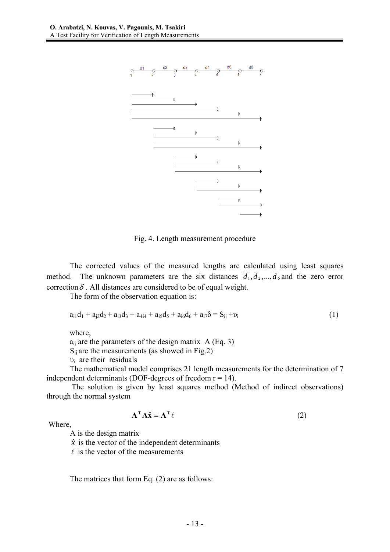

Fig. 4. Length measurement procedure

The corrected values of the measured lengths are calculated using least squares method. The unknown parameters are the six distances  $\overline{d}_1, \overline{d}_2, ..., \overline{d}_6$  and the zero error correction  $\delta$ . All distances are considered to be of equal weight.

The form of the observation equation is:

$$
a_{i1}d_1 + a_{i2}d_2 + a_{i3}d_3 + a_{4i4} + a_{i5}d_5 + a_{i6}d_6 + a_{i7}\delta = S_{ij} + v_i
$$
\n(1)

where,

 $a_{ii}$  are the parameters of the design matrix A (Eq. 3)

 $S_{ij}$  are the measurements (as showed in Fig.2)

 $v_i$  are their residuals

The mathematical model comprises 21 length measurements for the determination of 7 independent determinants (DOF-degrees of freedom  $r = 14$ ).

 The solution is given by least squares method (Method of indirect observations) through the normal system

$$
\mathbf{A}^{\mathrm{T}} \mathbf{A} \hat{\mathbf{x}} = \mathbf{A}^{\mathrm{T}} \ell \tag{2}
$$

Where,

A is the design matrix

 $\hat{x}$  is the vector of the independent determinants

 $\ell$  is the vector of the measurements

The matrices that form Eq. (2) are as follows: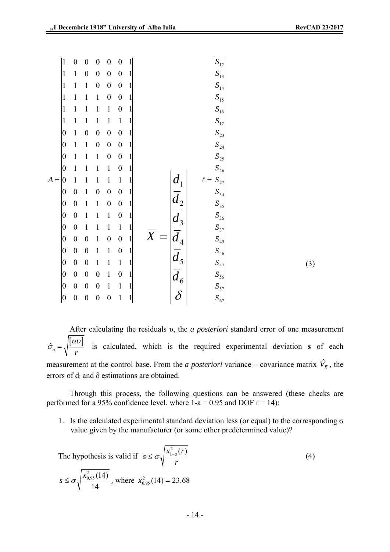(3)

|       | $\mathbf{1}$     | $\boldsymbol{0}$ | $\boldsymbol{0}$ | $\boldsymbol{0}$ | $\boldsymbol{0}$ | $\boldsymbol{0}$ | 1            |                                                                                                                                                                                         |                                                                                                                                                                                                 |  |
|-------|------------------|------------------|------------------|------------------|------------------|------------------|--------------|-----------------------------------------------------------------------------------------------------------------------------------------------------------------------------------------|-------------------------------------------------------------------------------------------------------------------------------------------------------------------------------------------------|--|
|       | $\mathbf{1}$     | $\mathbf{1}$     | $\boldsymbol{0}$ | $\boldsymbol{0}$ | $\boldsymbol{0}$ | $\boldsymbol{0}$ | $\mathbf{1}$ |                                                                                                                                                                                         |                                                                                                                                                                                                 |  |
|       | $\mathbf{1}$     | $\mathbf{1}$     | $\mathbf{1}$     | $\boldsymbol{0}$ | $\boldsymbol{0}$ | $\boldsymbol{0}$ | 1            |                                                                                                                                                                                         |                                                                                                                                                                                                 |  |
|       | $\mathbf{1}$     | $\mathbf{1}$     | $\mathbf{1}$     | $\mathbf{1}$     | $\boldsymbol{0}$ | $\boldsymbol{0}$ | 1            |                                                                                                                                                                                         |                                                                                                                                                                                                 |  |
|       | $\mathbf{1}$     | $\mathbf{1}$     | $\mathbf{1}$     | $\mathbf{1}$     | $\mathbf{1}$     | $\pmb{0}$        | 1            |                                                                                                                                                                                         |                                                                                                                                                                                                 |  |
|       | $\mathbf{1}$     | $\mathbf{1}$     | $\mathbf{1}$     | $\mathbf{1}$     | $\mathbf{1}$     | $\mathbf{1}$     | 1            |                                                                                                                                                                                         |                                                                                                                                                                                                 |  |
|       | $\vert 0 \vert$  | $\mathbf{1}$     | $\boldsymbol{0}$ | $\boldsymbol{0}$ | $\boldsymbol{0}$ | $\boldsymbol{0}$ | $\mathbf{1}$ |                                                                                                                                                                                         | $\begin{array}{c c} S_{12} & S_{13} \\ S_{13} & S_{14} \\ S_{15} & S_{16} \\ S_{16} & S_{17} \\ S_{23} & S_{24} \\ S_{25} & S_{26} \\ S_{27} & S_{34} \\ S_{35} & S_{36} \\ S_{37} \end{array}$ |  |
|       | $\vert 0 \vert$  | $\mathbf{1}$     | $\mathbf{1}$     | $\boldsymbol{0}$ | $\boldsymbol{0}$ | $\boldsymbol{0}$ | 1            |                                                                                                                                                                                         |                                                                                                                                                                                                 |  |
|       | $\overline{0}$   | $\mathbf{1}$     | $\mathbf{1}$     | $\mathbf{1}$     | $\boldsymbol{0}$ | $\boldsymbol{0}$ | 1            |                                                                                                                                                                                         |                                                                                                                                                                                                 |  |
|       | $\boldsymbol{0}$ | $\mathbf{1}$     | $\mathbf{1}$     | $\mathbf{1}$     | $\mathbf{1}$     | $\boldsymbol{0}$ | 1            |                                                                                                                                                                                         |                                                                                                                                                                                                 |  |
| $A =$ | 0                | $\mathbf{1}$     | $\mathbf{1}$     | $\mathbf{1}$     | $\mathbf{1}$     | $\mathbf{1}$     | $\mathbf{1}$ | $\ell =$                                                                                                                                                                                |                                                                                                                                                                                                 |  |
|       | $\boldsymbol{0}$ | $\boldsymbol{0}$ | $\mathbf{1}$     | $\boldsymbol{0}$ | $\boldsymbol{0}$ | $\boldsymbol{0}$ | $\mathbf{1}$ |                                                                                                                                                                                         |                                                                                                                                                                                                 |  |
|       | $\vert 0 \vert$  | $\boldsymbol{0}$ | $\mathbf{1}$     | $\mathbf{1}$     | $\boldsymbol{0}$ | $\boldsymbol{0}$ | $\mathbf{1}$ |                                                                                                                                                                                         |                                                                                                                                                                                                 |  |
|       | $\vert 0 \vert$  | $\boldsymbol{0}$ | $\mathbf{1}$     | $\mathbf{1}$     | $\mathbf{1}$     | $\boldsymbol{0}$ | $\mathbf{1}$ |                                                                                                                                                                                         |                                                                                                                                                                                                 |  |
|       | $\vert 0 \vert$  | $\boldsymbol{0}$ | $\mathbf{1}$     | $\mathbf{1}$     | $\mathbf{1}$     | $\mathbf{1}$     | $\mathbf{1}$ |                                                                                                                                                                                         |                                                                                                                                                                                                 |  |
|       | $\vert 0 \vert$  | $\boldsymbol{0}$ | $\boldsymbol{0}$ | $\mathbf{1}$     | $\boldsymbol{0}$ | $\boldsymbol{0}$ | $\mathbf{1}$ | $\overline{X}$                                                                                                                                                                          | $S_{45}$                                                                                                                                                                                        |  |
|       | $\vert 0 \vert$  | $\boldsymbol{0}$ | $\boldsymbol{0}$ | $\mathbf{1}$     | $\mathbf{1}$     | $\boldsymbol{0}$ | $\mathbf{1}$ |                                                                                                                                                                                         |                                                                                                                                                                                                 |  |
|       | $\vert 0 \vert$  | $\boldsymbol{0}$ | $\boldsymbol{0}$ | $\mathbf{1}$     | $\mathbf{1}$     | $\mathbf{1}$     | $\mathbf{1}$ |                                                                                                                                                                                         |                                                                                                                                                                                                 |  |
|       | $\vert 0 \vert$  | $\boldsymbol{0}$ | $\boldsymbol{0}$ | $\boldsymbol{0}$ | $\mathbf{1}$     | $\boldsymbol{0}$ | 1            |                                                                                                                                                                                         |                                                                                                                                                                                                 |  |
|       | $\vert 0 \vert$  | $\boldsymbol{0}$ | $\boldsymbol{0}$ | $\boldsymbol{0}$ | $\mathbf{1}$     | $\mathbf{1}$     | 1            | $\begin{array}{c}\n\overrightarrow{d_1} \\ \overrightarrow{d_2} \\ \overrightarrow{d_3} \\ \overrightarrow{d_4} \\ \overrightarrow{d_5} \\ \overrightarrow{d_6} \\ \delta\n\end{array}$ | $S$ <sub>46</sub><br>$S$ <sub>47</sub><br>$S$ <sub>56</sub><br>$S$ <sub>57</sub>                                                                                                                |  |
|       | 0                | $\boldsymbol{0}$ | $\boldsymbol{0}$ | $\boldsymbol{0}$ | $\boldsymbol{0}$ | $\mathbf{1}$     | $\mathbf{1}$ |                                                                                                                                                                                         | $S_{67}$                                                                                                                                                                                        |  |

After calculating the residuals υ, the *a posteriori* standard error of one measurement  $\hat{\sigma}_o = \sqrt{\frac{|\mathcal{U}\mathcal{U}|}{r}}$  is calculated, which is the required experimental deviation **s** of each measurement at the control base. From the *a posteriori* variance – covariance matrix  $\hat{V}_{\bar{x}}$ , the errors of  $d_i$  and  $\delta$  estimations are obtained.

Through this process, the following questions can be answered (these checks are performed for a 95% confidence level, where  $1-a = 0.95$  and DOF  $r = 14$ ):

1. Is the calculated experimental standard deviation less (or equal) to the corresponding  $\sigma$ value given by the manufacturer (or some other predetermined value)?

The hypothesis is valid if 
$$
s \le \sigma \sqrt{\frac{x_{1-a}^2(r)}{r}}
$$
  
\n $s \le \sigma \sqrt{\frac{x_{0.95}^2(14)}{14}}$ , where  $x_{0.95}^2(14) = 23.68$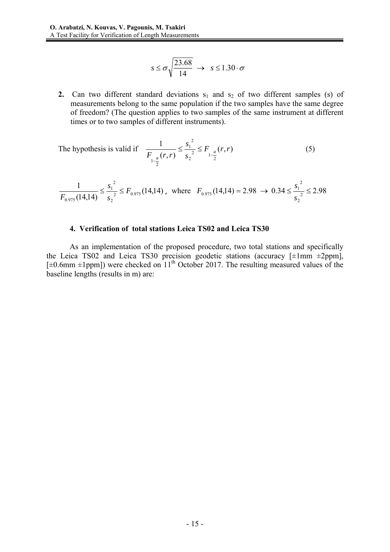$$
s \le \sigma \sqrt{\frac{23.68}{14}} \rightarrow s \le 1.30 \cdot \sigma
$$

**2.** Can two different standard deviations  $s_1$  and  $s_2$  of two different samples (s) of measurements belong to the same population if the two samples have the same degree of freedom? (The question applies to two samples of the same instrument at different times or to two samples of different instruments).

The hypothesis is valid if 
$$
\frac{1}{F_{1-a}(r,r)} \le \frac{s_1^2}{s_2^2} \le F_{1-a}(r,r)
$$
 (5)

$$
\frac{1}{F_{0.975}(14,14)} \le \frac{s_1^2}{s_2^2} \le F_{0.975}(14,14) \text{ , where } F_{0.975}(14,14) = 2.98 \rightarrow 0.34 \le \frac{s_1^2}{s_2^2} \le 2.98
$$

#### **4. Verification of total stations Leica TS02 and Leica TS30**

As an implementation of the proposed procedure, two total stations and specifically the Leica TS02 and Leica TS30 precision geodetic stations (accuracy  $[\pm 1 \text{mm } \pm 2 \text{ppm}]$ ,  $[\pm 0.6$ mm  $\pm 1$ ppm]) were checked on  $11<sup>th</sup>$  October 2017. The resulting measured values of the baseline lengths (results in m) are: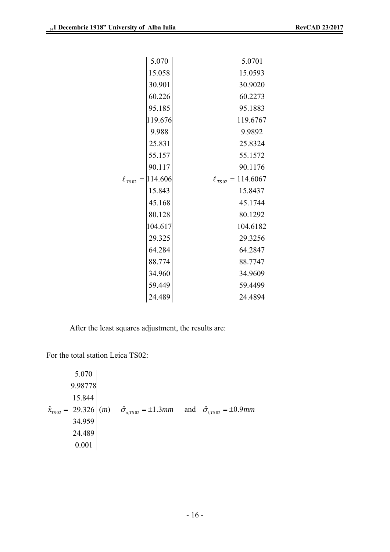| 5.070                   | 5.0701                   |
|-------------------------|--------------------------|
| 15.058                  | 15.0593                  |
| 30.901                  | 30.9020                  |
| 60.226                  | 60.2273                  |
| 95.185                  | 95.1883                  |
| 119.676                 | 119.6767                 |
| 9.988                   | 9.9892                   |
| 25.831                  | 25.8324                  |
| 55.157                  | 55.1572                  |
| 90.117                  | 90.1176                  |
| $\ell_{TS02} = 114.606$ | $\ell_{TS02} = 114.6067$ |
| 15.843                  | 15.8437                  |
| 45.168                  | 45.1744                  |
| 80.128                  | 80.1292                  |
| 104.617                 | 104.6182                 |
| 29.325                  | 29.3256                  |
| 64.284                  | 64.2847                  |
| 88.774                  | 88.7747                  |
| 34.960                  | 34.9609                  |
| 59.449                  | 59.4499                  |
| 24.489                  | 24.4894                  |

After the least squares adjustment, the results are:

For the total station Leica TS02:

$$
\hat{x}_{TS02} = \begin{vmatrix}\n5.070 \\
9.98778 \\
15.844 \\
29.326 \\
34.959 \\
24.489 \\
0.001\n\end{vmatrix} (m) \quad \hat{\sigma}_{o,TS02} = \pm 1.3 mm \quad \text{and} \quad \hat{\sigma}_{i,TS02} = \pm 0.9 mm
$$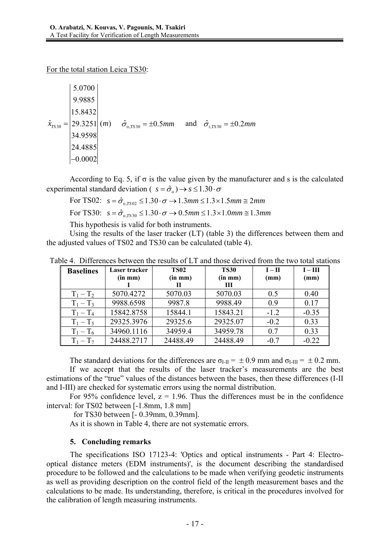For the total station Leica TS30:

30 5.0700 9.9885 15.8432  $\hat{x}_{7530} = |29.3251| (m)$ 34.9598 24.4885  $-0.0002$  $\hat{x}_{TSS0} = |29.3251| (m)$   $\hat{\sigma}_{o,TSS0} = \pm 0.5 mm$  and  $\hat{\sigma}_{i,TSS0} = \pm 0.2 mm$ 

According to Eq. 5, if  $\sigma$  is the value given by the manufacturer and s is the calculated experimental standard deviation (  $s = \hat{\sigma}_o$ )  $\rightarrow$   $s \le 1.30 \cdot \sigma$ 

For TS02: 
$$
s = \hat{\sigma}_{o, rso2} \le 1.30 \cdot \sigma \rightarrow 1.3 \text{ mm} \le 1.3 \times 1.5 \text{ mm} \approx 2 \text{ mm}
$$

For TS30:  $s = \hat{\sigma}_{q \text{rs30}} \leq 1.30 \cdot \sigma \rightarrow 0.5 \text{mm} \leq 1.3 \times 1.0 \text{mm} \equiv 1.3 \text{mm}$ 

This hypothesis is valid for both instruments.

Using the results of the laser tracker (LT) (table 3) the differences between them and the adjusted values of TS02 and TS30 can be calculated (table 4).

| <b>Baselines</b> | Laser tracker | <b>TS02</b>  | <b>TS30</b>               | $I - II$ | $I - III$ |
|------------------|---------------|--------------|---------------------------|----------|-----------|
|                  | $(in \, mm)$  | $(in \, mm)$ | (in m <sub>m</sub> )<br>Ш | (mm)     | (mm)      |
| $T_1 - T_2$      | 5070.4272     | 5070.03      | 5070.03                   | 0.5      | 0.40      |
| $T_1 - T_3$      | 9988.6598     | 9987.8       | 9988.49                   | 0.9      | 0.17      |
| $T_1 - T_4$      | 15842.8758    | 15844.1      | 15843.21                  | $-1.2$   | $-0.35$   |
| $T_1 - T_5$      | 29325.3976    | 29325.6      | 29325.07                  | $-0.2$   | 0.33      |
| $T_1 - T_6$      | 34960.1116    | 34959.4      | 34959.78                  | 0.7      | 0.33      |
| $T_1 - T_7$      | 24488.2717    | 24488.49     | 24488.49                  | $-0.7$   | $-0.22$   |

Table 4. Differences between the results of LT and those derived from the two total stations

The standard deviations for the differences are  $\sigma_{I-II} = \pm 0.9$  mm and  $\sigma_{I-II} = \pm 0.2$  mm. If we accept that the results of the laser tracker's measurements are the best estimations of the "true" values of the distances between the bases, then these differences (I-II and I-III) are checked for systematic errors using the normal distribution.

For 95% confidence level,  $z = 1.96$ . Thus the differences must be in the confidence interval: for TS02 between [-1.8mm, 1.8 mm]

for TS30 between [- 0.39mm, 0.39mm].

As it is shown in Table 4, there are not systematic errors.

## **5. Concluding remarks**

The specifications ISO 17123-4: 'Optics and optical instruments - Part 4: Electrooptical distance meters (EDM instruments)', is the document describing the standardised procedure to be followed and the calculations to be made when verifying geodetic instruments as well as providing description on the control field of the length measurement bases and the calculations to be made. Its understanding, therefore, is critical in the procedures involved for the calibration of length measuring instruments.